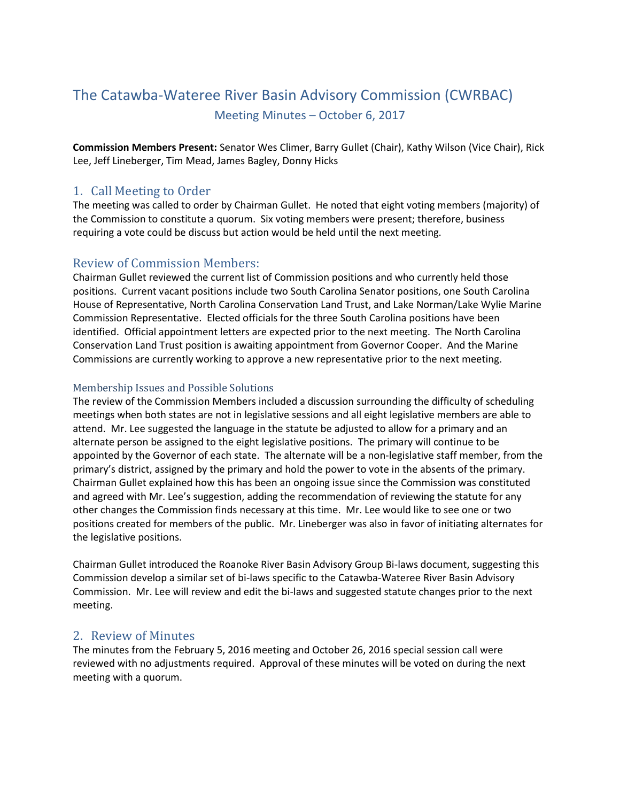# The Catawba-Wateree River Basin Advisory Commission (CWRBAC) Meeting Minutes – October 6, 2017

**Commission Members Present:** Senator Wes Climer, Barry Gullet (Chair), Kathy Wilson (Vice Chair), Rick Lee, Jeff Lineberger, Tim Mead, James Bagley, Donny Hicks

## 1. Call Meeting to Order

The meeting was called to order by Chairman Gullet. He noted that eight voting members (majority) of the Commission to constitute a quorum. Six voting members were present; therefore, business requiring a vote could be discuss but action would be held until the next meeting.

## Review of Commission Members:

Chairman Gullet reviewed the current list of Commission positions and who currently held those positions. Current vacant positions include two South Carolina Senator positions, one South Carolina House of Representative, North Carolina Conservation Land Trust, and Lake Norman/Lake Wylie Marine Commission Representative. Elected officials for the three South Carolina positions have been identified. Official appointment letters are expected prior to the next meeting. The North Carolina Conservation Land Trust position is awaiting appointment from Governor Cooper. And the Marine Commissions are currently working to approve a new representative prior to the next meeting.

#### Membership Issues and Possible Solutions

The review of the Commission Members included a discussion surrounding the difficulty of scheduling meetings when both states are not in legislative sessions and all eight legislative members are able to attend. Mr. Lee suggested the language in the statute be adjusted to allow for a primary and an alternate person be assigned to the eight legislative positions. The primary will continue to be appointed by the Governor of each state. The alternate will be a non-legislative staff member, from the primary's district, assigned by the primary and hold the power to vote in the absents of the primary. Chairman Gullet explained how this has been an ongoing issue since the Commission was constituted and agreed with Mr. Lee's suggestion, adding the recommendation of reviewing the statute for any other changes the Commission finds necessary at this time. Mr. Lee would like to see one or two positions created for members of the public. Mr. Lineberger was also in favor of initiating alternates for the legislative positions.

Chairman Gullet introduced the Roanoke River Basin Advisory Group Bi-laws document, suggesting this Commission develop a similar set of bi-laws specific to the Catawba-Wateree River Basin Advisory Commission. Mr. Lee will review and edit the bi-laws and suggested statute changes prior to the next meeting.

#### 2. Review of Minutes

The minutes from the February 5, 2016 meeting and October 26, 2016 special session call were reviewed with no adjustments required. Approval of these minutes will be voted on during the next meeting with a quorum.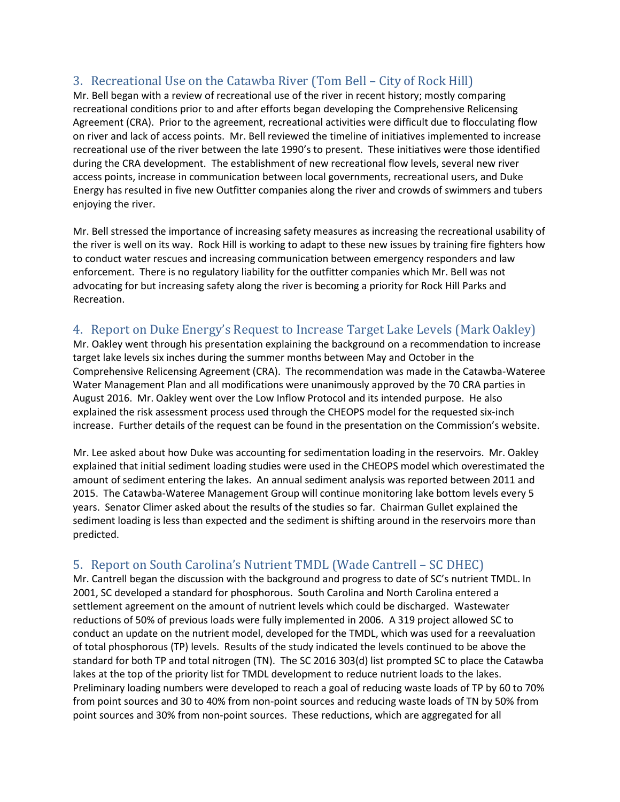## 3. Recreational Use on the Catawba River (Tom Bell – City of Rock Hill)

Mr. Bell began with a review of recreational use of the river in recent history; mostly comparing recreational conditions prior to and after efforts began developing the Comprehensive Relicensing Agreement (CRA). Prior to the agreement, recreational activities were difficult due to flocculating flow on river and lack of access points. Mr. Bell reviewed the timeline of initiatives implemented to increase recreational use of the river between the late 1990's to present. These initiatives were those identified during the CRA development. The establishment of new recreational flow levels, several new river access points, increase in communication between local governments, recreational users, and Duke Energy has resulted in five new Outfitter companies along the river and crowds of swimmers and tubers enjoying the river.

Mr. Bell stressed the importance of increasing safety measures as increasing the recreational usability of the river is well on its way. Rock Hill is working to adapt to these new issues by training fire fighters how to conduct water rescues and increasing communication between emergency responders and law enforcement. There is no regulatory liability for the outfitter companies which Mr. Bell was not advocating for but increasing safety along the river is becoming a priority for Rock Hill Parks and Recreation.

## 4. Report on Duke Energy's Request to Increase Target Lake Levels (Mark Oakley)

Mr. Oakley went through his presentation explaining the background on a recommendation to increase target lake levels six inches during the summer months between May and October in the Comprehensive Relicensing Agreement (CRA). The recommendation was made in the Catawba-Wateree Water Management Plan and all modifications were unanimously approved by the 70 CRA parties in August 2016. Mr. Oakley went over the Low Inflow Protocol and its intended purpose. He also explained the risk assessment process used through the CHEOPS model for the requested six-inch increase. Further details of the request can be found in the presentation on the Commission's website.

Mr. Lee asked about how Duke was accounting for sedimentation loading in the reservoirs. Mr. Oakley explained that initial sediment loading studies were used in the CHEOPS model which overestimated the amount of sediment entering the lakes. An annual sediment analysis was reported between 2011 and 2015. The Catawba-Wateree Management Group will continue monitoring lake bottom levels every 5 years. Senator Climer asked about the results of the studies so far. Chairman Gullet explained the sediment loading is less than expected and the sediment is shifting around in the reservoirs more than predicted.

## 5. Report on South Carolina's Nutrient TMDL (Wade Cantrell – SC DHEC)

Mr. Cantrell began the discussion with the background and progress to date of SC's nutrient TMDL. In 2001, SC developed a standard for phosphorous. South Carolina and North Carolina entered a settlement agreement on the amount of nutrient levels which could be discharged. Wastewater reductions of 50% of previous loads were fully implemented in 2006. A 319 project allowed SC to conduct an update on the nutrient model, developed for the TMDL, which was used for a reevaluation of total phosphorous (TP) levels. Results of the study indicated the levels continued to be above the standard for both TP and total nitrogen (TN). The SC 2016 303(d) list prompted SC to place the Catawba lakes at the top of the priority list for TMDL development to reduce nutrient loads to the lakes. Preliminary loading numbers were developed to reach a goal of reducing waste loads of TP by 60 to 70% from point sources and 30 to 40% from non-point sources and reducing waste loads of TN by 50% from point sources and 30% from non-point sources. These reductions, which are aggregated for all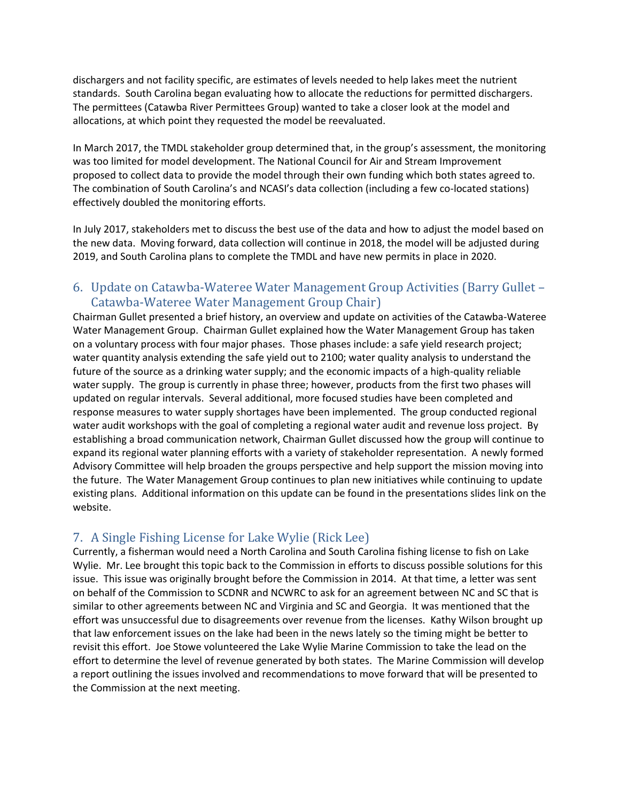dischargers and not facility specific, are estimates of levels needed to help lakes meet the nutrient standards. South Carolina began evaluating how to allocate the reductions for permitted dischargers. The permittees (Catawba River Permittees Group) wanted to take a closer look at the model and allocations, at which point they requested the model be reevaluated.

In March 2017, the TMDL stakeholder group determined that, in the group's assessment, the monitoring was too limited for model development. The National Council for Air and Stream Improvement proposed to collect data to provide the model through their own funding which both states agreed to. The combination of South Carolina's and NCASI's data collection (including a few co-located stations) effectively doubled the monitoring efforts.

In July 2017, stakeholders met to discuss the best use of the data and how to adjust the model based on the new data. Moving forward, data collection will continue in 2018, the model will be adjusted during 2019, and South Carolina plans to complete the TMDL and have new permits in place in 2020.

#### 6. Update on Catawba-Wateree Water Management Group Activities (Barry Gullet – Catawba-Wateree Water Management Group Chair)

Chairman Gullet presented a brief history, an overview and update on activities of the Catawba-Wateree Water Management Group. Chairman Gullet explained how the Water Management Group has taken on a voluntary process with four major phases. Those phases include: a safe yield research project; water quantity analysis extending the safe yield out to 2100; water quality analysis to understand the future of the source as a drinking water supply; and the economic impacts of a high-quality reliable water supply. The group is currently in phase three; however, products from the first two phases will updated on regular intervals. Several additional, more focused studies have been completed and response measures to water supply shortages have been implemented. The group conducted regional water audit workshops with the goal of completing a regional water audit and revenue loss project. By establishing a broad communication network, Chairman Gullet discussed how the group will continue to expand its regional water planning efforts with a variety of stakeholder representation. A newly formed Advisory Committee will help broaden the groups perspective and help support the mission moving into the future. The Water Management Group continues to plan new initiatives while continuing to update existing plans. Additional information on this update can be found in the presentations slides link on the website.

## 7. A Single Fishing License for Lake Wylie (Rick Lee)

Currently, a fisherman would need a North Carolina and South Carolina fishing license to fish on Lake Wylie. Mr. Lee brought this topic back to the Commission in efforts to discuss possible solutions for this issue. This issue was originally brought before the Commission in 2014. At that time, a letter was sent on behalf of the Commission to SCDNR and NCWRC to ask for an agreement between NC and SC that is similar to other agreements between NC and Virginia and SC and Georgia. It was mentioned that the effort was unsuccessful due to disagreements over revenue from the licenses. Kathy Wilson brought up that law enforcement issues on the lake had been in the news lately so the timing might be better to revisit this effort. Joe Stowe volunteered the Lake Wylie Marine Commission to take the lead on the effort to determine the level of revenue generated by both states. The Marine Commission will develop a report outlining the issues involved and recommendations to move forward that will be presented to the Commission at the next meeting.